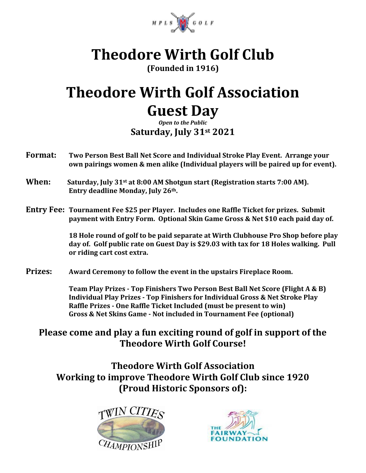

## **Theodore Wirth Golf Club**

**(Founded in 1916)**

## **Theodore Wirth Golf Association Guest Day**

*Open to the Public* **Saturday, July 31st 2021**

- **Format: Two Person Best Ball Net Score and Individual Stroke Play Event. Arrange your own pairings women & men alike (Individual players will be paired up for event).**
- **When: Saturday, July 31st at 8:00 AM Shotgun start (Registration starts 7:00 AM). Entry deadline Monday, July 26th.**
- **Entry Fee: Tournament Fee \$25 per Player. Includes one Raffle Ticket for prizes. Submit payment with Entry Form. Optional Skin Game Gross & Net \$10 each paid day of.**

**18 Hole round of golf to be paid separate at Wirth Clubhouse Pro Shop before play day of. Golf public rate on Guest Day is \$29.03 with tax for 18 Holes walking. Pull or riding cart cost extra.**

**Prizes: Award Ceremony to follow the event in the upstairs Fireplace Room.**

**Team Play Prizes - Top Finishers Two Person Best Ball Net Score (Flight A & B) Individual Play Prizes - Top Finishers for Individual Gross & Net Stroke Play Raffle Prizes - One Raffle Ticket Included (must be present to win) Gross & Net Skins Game - Not included in Tournament Fee (optional)**

## **Please come and play a fun exciting round of golf in support of the Theodore Wirth Golf Course!**

**Theodore Wirth Golf Association Working to improve Theodore Wirth Golf Club since 1920 (Proud Historic Sponsors of):**